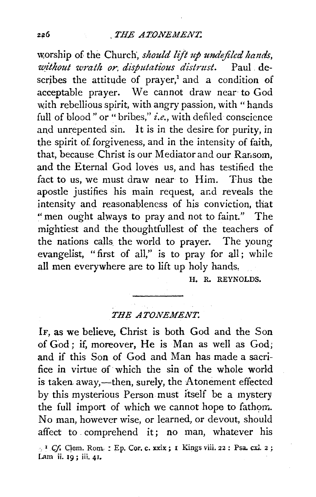\V,orship of the Church·, *should lift* 1~p *undejilcd ha11ds,*  without wrath or, disputatious distrust. Paul describes the attitude of prayer,<sup>1</sup> and a condition of acceptable prayer. We cannot draw near· to God with rebellious spirit, with angry passion, with "hands" full of blood" or "bribes," *i.e.*, with defiled conscience and unrepented sin. It is in the desire for *purity*, in the spirit of forgiveness, and in the intensity of faith, that, because Christ is our Mediator and our Ransom. and the Eternal God loves us, and has testified the fact to us, we must draw near to Him. Thus the apostle justifies his main request, and reveals the intensity and reasonableness of his conviction, that ''men ought always to pray and not to faint." The mightiest and the thoughtfullest of the teachers of the nations calls. the world to prayer. The young evangelist, "first of all," is to pray for all; while all men everywhere are to lift up holy hands,

H. R. REYNOLDS.

**THE ATONEMENT.** 

IF, as we believe, Christ is both God and the Son of God; if, moreover, He is Man as well as God; and if this Son of God and Man has made a sacrifice in virtue of· which the sin of the whole world is taken away,—then, surely, the Atonement effected by this mysterious Person must itself be a mystery the full import of which we cannot hope to fathom. No man, however wise, or learned, or devout, should affect to . comprehend it; no man, whatever his <sup>1</sup> *Cf.* Clem. Rom. : Ep. Cor. c. xxix; I Kings viii. 22 : Psa. cxl. 2; Lam ii. 19; iii. 41.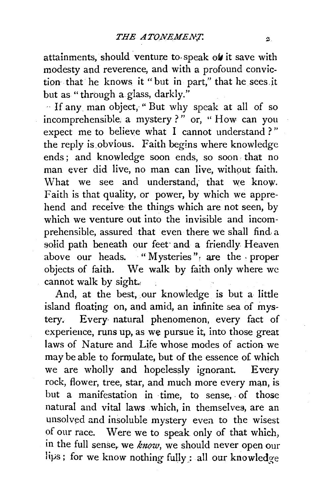attainments, should venture to speak of it save with modesty and reverence, and with a profound conviction that he knows it " but in part," that he sees .it but as "through a. glass, darkly."

.. If any man object, " But why speak at all of so incomprehensible, a mystery?" or, " How can you expect me to believe what I cannot understand ? '' the reply is.obvious. Faith begins where knowledge ends; and knowledge soon ends, so soon that no man ever did live, no man can live, without faith. What we see and understand, that we know. Faith is that quality, or power, by which we apprehend and receive the things which are not seen, by which we venture out into the invisible and incomprehensible, assured that even there we shall find a solid path beneath our feet and a friendly Heaven above our heads. "Mysteries", are the proper objects of faith. We walk by faith only where we cannot walk by sight.,

And, at the best, our knowledge is but a little island floating on, and amid, an infinite sea of mystery. Every· natural phenomenon, every fact of experience, runs up, as we pursue it, into those great laws of Nature and Life whose modes of action we may be able to formulate, but of the essence of which we are wholly and hopelessly ignorant. Every rock, flower, tree, star, and much more every man, is but a manifestation in time, to sense, of those natural and vital laws which, in themselves, are an unsolved and insoluble mystery even to the wisest of our race. Were we to speak only of that which, in the full sense, we *know*, we should never open our lips; for we know nothing fully : all our knowledge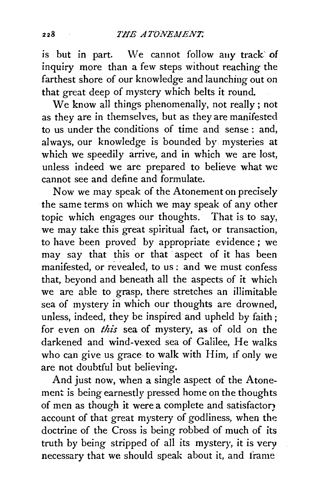is but in part. We cannot follow any track of inquiry more than a few steps without reaching the farthest shore of our knowledge and launching out on that great deep of mystery which belts it round.

We know all things phenomenally, not really ; not as they are in themselves, but as they are manifested to us under the conditions of time and sense : and, always, our knowledge is bounded by mysteries at which we speedily arrive, and in which we are lost, unless indeed we are prepared to believe what we cannot see and define and formulate.

Now we may speak of the Atonement on precisely the same terms on which we may speak of any other topic which engages our thoughts. That is to say, we may take this great spiritual fact, or transaction, to have been proved by appropriate evidence ; we may say that this or that aspect of it has been manifested, or revealed, to us : and we must confess that, beyond and beneath all the aspects of it which we are able to grasp, there stretches an illimitable sea of mystery in which our thoughts are drowned, unless, indeed, they be inspired and upheld by faith; for even on *this* sea of mystery, as of old on the darkened and wind-vexed sea of Galilee, He walks who can give us grace to walk with Him, 1f only we are not doubtful but believing.

And just now, when a single aspect of the Atonement is being earnestly pressed home on the thoughts of men as though it were a complete and satisfactor) account of that great mystery of godliness, when the doctrine of the Cross is being robbed of much of its truth by being stripped of all its mystery, it *is* very necessary that we should speak about it, and trame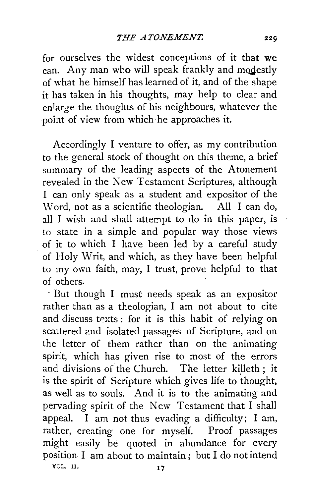for ourselves the widest conceptions of it that we can. Any man who will speak frankly and modestly of what he himself has learned of it, and of the shape it has taken in his thoughts, may help to clear and en1arge the thoughts of his neighbours, whatever the point of view from which he approaches it.

Accordingly I venture to offer, as my contribution to the general stock of thought on this theme, a brief summary of the leading aspects of the Atonement revealed in the New Testament Scriptures, although I can only speak as a student and expositor of the Word, not as a scientific theologian. All I can do, all I wish and shall attempt to do in this paper, is to state in a simple and popular way those views of it to which I have been led by a careful study of Holy Writ, and which, as they have been helpful to my own faith, may, I trust, prove helpful to that of others.

· But though I must needs speak as an expositor rather than as a theologian, I am not about to cite and discuss texts : for it is this habit of relying on scattered and isolated passages of Scripture, and on the letter of them rather than on the animating spirit, which has given rise to most of the errors and divisions of the Church. The letter killeth; it is the spirit of Scripture which gives life to thought, as well as to souls. And it is to the animating and pervading spirit of the New Testament that I shall appeal. I am not thus evading a difficulty; I am, rather, creating one for myself. Proof passages might easily be quoted in abundance for every position I am about to maintain; but I do not intend YOL. 11. 17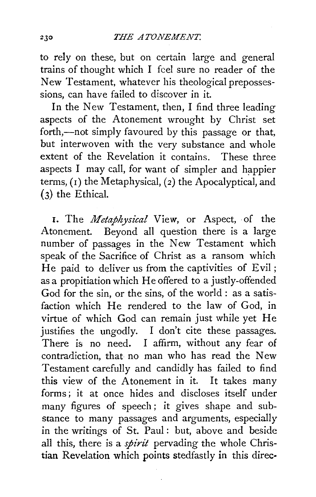to rely on these, but on certain large and general trains of thought which I feel sure no reader of the New Testament, whatever his theological prepossessions, can have failed to discover in it.

In the New Testament, then, I find three leading aspects of the Atonement wrought by Christ set forth,--not simply favoured by this passage or that, but interwoven with the very substance and whole extent of the Revelation it contains. These three aspects  $I$  may call, for want of simpler and happier terms,  $(1)$  the Metaphysical,  $(2)$  the Apocalyptical, and (3) the Ethical.

1. The *Metaphysical* View, or Aspect, of the Atonement. Beyond all question there is a large number of passages in the New Testament which speak of the Sacrifice of Christ as a ransom which He paid to deliver us from the captivities of Evil; as a propitiation which He offered to a justly-offended God for the sin, or the sins, of the world : as a satisfaction which He rendered to the law of God, in virtue of which God can remain just while yet He justifies the ungodly. I don't cite these passages. There is no need. I affirm, without any fear of contradiction, that no man who has read the New Testament carefully and candidly has failed to find this view of the Atonement in it. It takes many forms; it at once hides and discloses itself under many figures of speech ; it gives shape and substance to many passages and arguments, especially in the writings of St. Paul: but, above and beside all this, there is a *spirit* pervading the whole Christian Revelation which points stedfastly in this direc·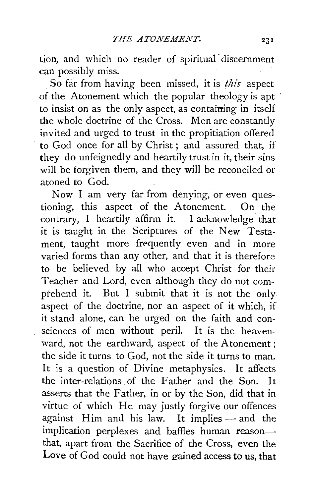tion, and which no reader of spiritual discernment can possibly miss.

. So far from having been missed, it is *this* aspect of the Atonement which the popular theology is apt to insist on as the only aspect, as containing in itself the whole doctrine of the Cross. Men are constantly invited and urged to trust in the propitiation offered to God once for all by Christ; and assured that, if they do unfeignedly and heartily trust in it, their sins will be forgiven them, and they will be reconciled or atoned to God.

Now I am very far from denying, or even questioning, this aspect of the Atonement. On the contrary, I heartily affirm it. I acknowledge that it is taught in the Scriptures of the New Testament, taught more frequently even and in more varied forms than any other, and that it is therefore to be believed by all who accept Christ for their Teacher and Lord, even although they do not com·· prebend it. But I submit that it is not the only aspect of the doctrine, nor an aspect of it which, if it stand alone, can be urged on the faith and consciences of men without peril. It is the heavenward, not the earthward, aspect of the Atonement; the side it turns to God, not the side it turns to man. It is a question of Divine metaphysics. It affects the inter-relations of the Father and the Son. It asserts that the Father, in or by the Son, did that in virtue of which He may justly forgive our offences against Him and his law. It implies - and the implication perplexes and baffles human reasonthat, apart from the Sacrifice of the Cross, even the Love of God could not have gained access to us, that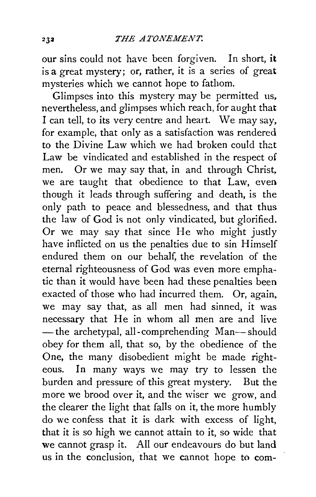our sins could not have been forgiven. In short, it is a great mystery; or, rather, it is a series of great mysteries which we cannot hope to fathom.

Glimpses into this mystery may be permitted us, nevertheless, and glimpses which reach, for aught that I can tell, to its very centre and heart. We may say, for example, that only as a satisfaction was rendered to the Divine Law which we had broken could that Law be vindicated and established in the respect of men. Or we may say that, in and through Christ, we are taught that obedience to that Law, even though it leads through suffering and death, is the only path to peace and blessedness, and that thus the law of God is not only vindicated, but glorified. Or we may say that since He who might justly have inflicted on us the penalties due to sin Himself endured them on our behalf, the revelation of the eternal righteousness of God was even more emphatic than it would have been had these penalties been exacted of those who had incurred them. Or, again, we may say that, as all men had sinned, it was necessary that He in whom all men are and live -the archetypal, all-comprehending Man-should obey for them all, that so, by the obedience of the One, the many disobedient might be made righteous. In many ways we may try to lessen the burden and pressure of this great mystery. But the more we brood over it, and the wiser we grow, and the clearer the light that falls on it, the more humbly do we confess that it is dark with excess of light, that it is so high we cannot attain to it, so wide that we cannot grasp it. All our endeavours do but land us in the conclusion, that we cannot hope to com-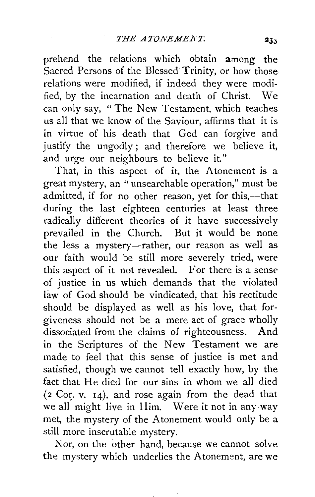prehend the relations which obtain among the Sacred Persons of the Blessed Trinity, or how those relations were modified, if indeed they were modified, by the incarnation and death of Christ. We can only say, "The New Testament, which teaches us all that we know of the Saviour, affirms that it is in virtue of his death that God can forgive and justify the ungodly; and therefore we believe it, and urge our neighbours to believe it."

That, in this aspect of it, the Atonement is a great mystery, an " unsearchable operation," must be admitted, if for no other reason, yet for this,-that during the last eighteen centuries at least three radically different theories of it have successively prevailed in the Church. But it would be none the less a mystery-rather, our reason as well as our faith would be still more severely tried, were this aspect of it not revealed. For there is a sense of justice in us which demands that the violated law of God should be vindicated, that his rectitude should be displayed as well as his love, that forgiveness should not be a mere act of grace wholly dissociated from the claims of righteousness. And in the Scriptures of the New Testament we are made to feel that this sense of justice is met and satisfied, though we cannot tell exactly how, by the fact that He died for our sins in whom we all died  $(2$  Cor. v. 14), and rose again from the dead that we all might live in Him. Were it not in any way met, the mystery of the Atonement would only be a still more inscrutable mystery.

Nor, on the other hand, because we cannot solve the mystery which underlies the Atonement, are we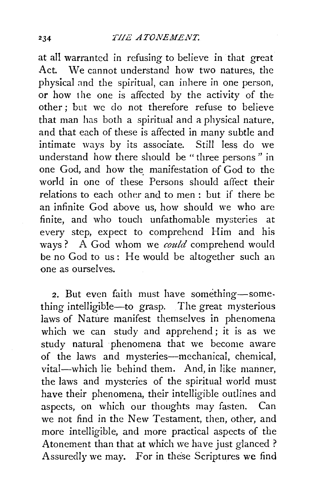at all warranted in refusing to believe in that great Act. We cannot understand how two natures, the physical and the spiritual, can inhere in one person, or how the one is affected by the activity of the other; but we do not therefore refuse to believe that man has both a spiritual and a physical nature, and that each of these is affected in many subtle and intimate ways by its associate. Still less do we understand how there should be " three persons " in one God, and how the manifestation of God to the world in one of these Persons should affect their relations to each other and to men : but if there be an infinite God above us, how should we who are finite, and who touch unfathomable mysteries at every step, expect to comprehend Him and his ways? A God whom we *could* comprehend would be no God to us: He would be altogether such an one as ourselves.

2. But even faith must have something-something intelligible-to grasp. The great mysterious laws of Nature manifest themselves in phenomena which we can study and apprehend; it is as we study natural phenomena that we become aware of the laws and mysteries-mechanical, chemical, vital-which lie behind them. And, in like manner, the laws and mysteries of the spiritual world must have their phenomena, their intelligible outlines and aspects, on which our thoughts may fasten. Can we not find in the New Testament, then, other, and more intelligible, and more practical aspects of the Atonement than that at which we have just glanced? Assuredly we may. For in these Scriptures we find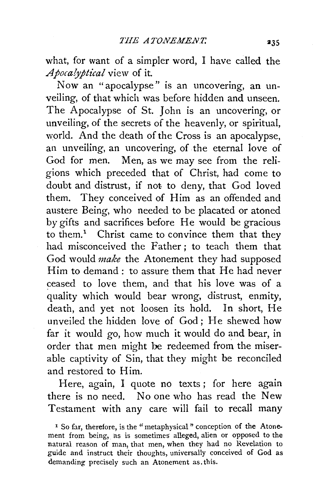what, for want of a simpler word, I have called the *Apoca!yptical* view of it.

Now an " apocalypse" is an uncovering, an unveiling, of that which was before hidden and unseen. The Apocalypse of St. John is an uncovering, or unveiling, of the secrets of the heavenly, or spiritual, world. And the death of the Cross is an apocalypse, an unveiling, an uncovering, of the eternal love of God for men. Men, as we may see from the religions which preceded that of Christ, had come to doubt and distrust, if not to deny, that God loved them. They conceived of Him as an offended and austere Being, who needed to be placated or atoned by gifts and sacrifices before He would be gracious to them.<sup>1</sup> Christ came to convince them that they had misconceived the Father; to teach them that God would *make* the Atonement they had supposed Him to demand: to assure them that He had never ceased to love them, and that his love was of a quality which would bear wrong, distrust, enmity, death, and yet not loosen its hold. In short, He unveiled the hidden love of God ; He shewed how far it would go, how much it would do and bear, in order that men might be redeemed from the miserable captivity of Sin, that they might be reconciled and restored to Him.

Here, again, I quote no texts ; for here again there is no need. No one who has read the New Testament with any care will fail to recall many

<sup>&</sup>lt;sup>1</sup> So far, therefore, is the "metaphysical" conception of the Atonement from being, as is sometimes alleged, alien or opposed to the natural reason of man, that men, when they had no Revelation to guide and instruct their thoughts, universally conceived of God as demanding precisely such an Atonement as. this.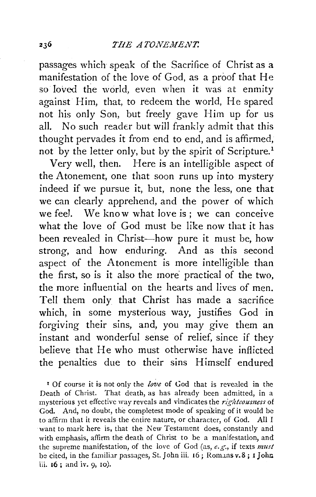passages which speak of the Sacrifice of Christ as a manifestation of the love of God, as a proof that He so loved the world, even when it was at enmity against Him, that, to redeem the world, He spared not his only Son, but freely gave Him up for us all. No such reader but will frankly admit that this thought pervades it from end to end, and is affirmed, not by the letter only, but by the spirit of Scripture.<sup>1</sup>

Very well, then. Here is an intelligible aspect of the Atonement, one that soon runs up into mystery indeed if we pursue it, but, none the less, one that we can clearly apprehend, and the power of which we feel. We know what love is; we can conceive what the love of God must be like now that it has been revealed in Christ-how pure it must be, how strong, and how enduring. And as this second aspect of the Atonement is more intelligible than the first, so is it also the more practical of the two, the more influential on the hearts and lives of men. Tell them only that Christ has made a sacrifice which, in some mysterious way, justifies God in forgiving their sins, and, you may give them an instant and wonderful sense of relief, since if they believe that He who must otherwise have inflicted the penalties due to their sins Himself endured

r Of course it is not only the *love* of God that is revealed in the Death of Christ. That death, as has already been admitted, in a mysterious yet effective way reveals and vindicates the *righteoumess* of God. And, no doubt, the completest mode of speaking of it would be to affirm that it reveals the entire nature, or character, of God. All I want to mark here is, that the New Testament does, constantly and with emphasis, affirm the death of Christ to be a manifestation, and the supreme manifestation, of the love of God (as, *e.g.,* if texts *must*  be cited, in the familiar passages, St. John iii. 16; Romans v.8; I John iii. 16 ; and iv. 9, 10).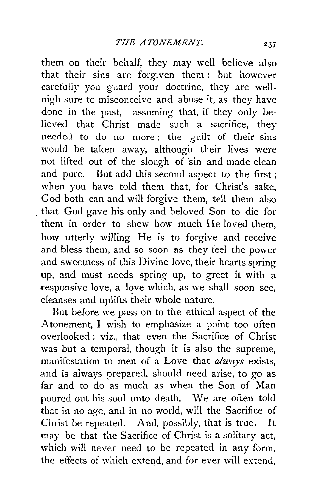them on their behalf, they may well believe also that their sins are forgiven them : but however carefully you guard your doctrine, they are wellnigh sure to misconceive and abuse it, as they have done in the past,—assuming that, if they only believed that Christ made such a sacrifice, they needed to do no more ; the guilt of their sins would be taken away, although their lives were not lifted out of the slough of sin and made clean and pure. But add this second aspect to the first ; when you have told them that, for Christ's sake, God both can and will forgive them, tell them also that God gave his only and beloved Son to die for them in order to shew how much He loved them, how utterly willing He is to forgive and receive and bless them, and so soon as they feel the power and sweetness of this Divine love, their hearts spring up, and must needs spring up, to greet it with a responsive love, a love which, as we shall soon see, cleanses and uplifts their whole nature.

But before we pass on to the ethical aspect of the Atonement, I wish to emphasize a point too often overlooked : viz., that even the Sacrifice of Christ was but a temporal, though it is also the supreme, manifestation to men of a Love that *always* exists, and is always prepared, should need arise, to go as far and to do as much as when the Son of Man poured out his soul unto death. We are often told that in no age, and in no world, will the Sacrifice of Christ be repeated. And, possibly, that is true. It may be that the Sacrifice of Christ is a solitary act, which will never need to be repeated in any form, the effects of which extend, and for ever will extend,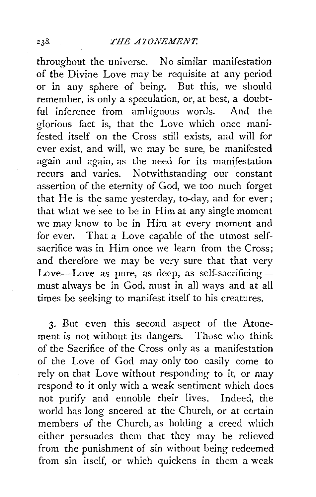throughout the universe. No similar manifestation of the Divine Love may be requisite at any period or in any sphere of being. But this, we should remember, is only a speculation, or, at best, a doubtful inference from ambiguous words. And the glorious fact is, that the Love which once manifested itself on the Cross still exists, and will for ever exist, and will, we may be sure, be manifested again and again, as the need for its manifestation recurs and varies. Notwithstanding our constant assertion of the eternity of God, we too much forget that He is the same yesterday, to-day, and for ever; that what we see to be in Him at any single moment we may know to be in Him at every moment and for ever. That a Love capable of the utmost selfsacrifice was in Him once we learn from the Cross: and therefore we may be very sure that that very Love-Love as pure, as deep, as self-sacrificingmust always be in God, must in all ways and at all times be seeking to manifest itself to his creatures.

3· But even this second aspect of the Atonement is not without its dangers. Those who think of the Sacrifice of the Cross only as a manifestation of the Love of God may only too easily come to rely on that Love without responding to it, or may respond to it only with a weak sentiment which does not purify and ennoble their lives. Indeed, the world has long sneered at the Church, or at certain members of the Church, as holding a creed which either persuades them that they may be relieved from the punishment of sin without being redeemed from sin itself, or which quickens in them a weak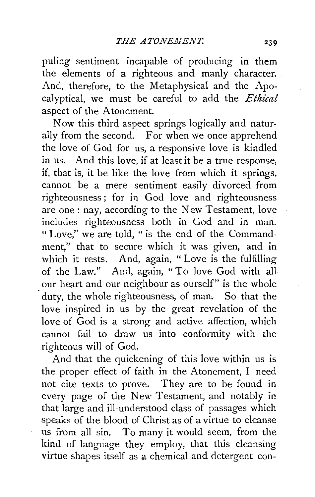puling sentiment incapable of producing in them the elements of a righteous and manly character. And, therefore, to the Metaphysical and the Apocalyptical, we must be careful to add the *Ethical*  aspect of the Atonement.

Now this third aspect springs logically and naturally from the second. For when we once apprehend the love of God for us, a responsive love is kindled in us. And this love, if at least it be a true response, if, that is, it be like the love from which it springs, cannot be a mere sentiment easily divorced from righteousness; for in God love and righteousness are one: nay, according to the New Testament, love includes righteousness both in God and in man. " Love," we are told, " is the end of the Commandment," that to secure which it was given, and in which it rests. And, again, "Love is the fulfilling of the Law." And, again, "To love God with all our heart and our neighbour as ourself" is the whole duty, the whole righteousness, of man. So that the love inspired in us by the great revelation of the love of God is a strong and active affection, which cannot fail to draw us into conformity with the righteous will of God.

And that the quickening of this love within us is the proper effect of faith in the Atonement, I need not cite texts to prove. They are to be found in every page of the New Testament, and notably in that large and ill-understood class of passages which speaks of the blood of Christ as of a virtue to cleanse us from all sin. To many it would seem, from the kind of language they employ, that this cleansing virtue shapes itself as a chemical and detergent con-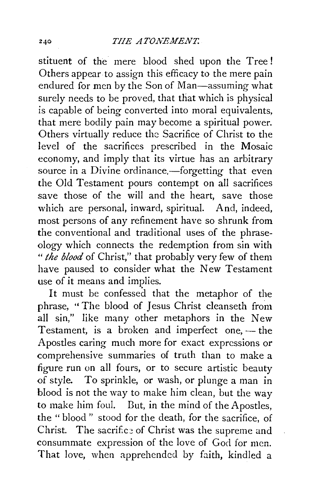stituent of the mere blood shed upon the Tree ! Others appear to assign this efficacy to the mere pain endured for men by the Son of Man-assuming what surely needs to be proved, that that which is physical is capable of being converted into moral equivalents, that mere bodily pain may become a spiritual power. Others virtually reduce the Sacrifice of Christ to the level of the sacrifices prescribed in the Mosaic economy, and imply that its virtue has an arbitrary source in a Divine ordinance,—forgetting that even the Old Testament pours contempt on all sacrifices save those of the will and the heart, save those which are personal, inward, spiritual. And, indeed, most persons of any refinement have so shrunk from the conventional and traditional uses of the phraseology which connects the redemption from sin with " *the blood* of Christ," that probably very few of them have paused to consider what the New Testament use of it means and implies.

It must be confessed that the metaphor of the phrase, "The blood of Jesus Christ cleanseth from all sin," like many other metaphors in the New Testament, is a broken and imperfect one, $-$  the Apostles caring much more for exact expressions or comprehensive summaries of truth than to make a figure run on all fours, or to secure artistic beauty of style. To sprinkle, or wash, or plunge a man in blood is not the way to make him clean, but the way to make him foul. But, in the mind of the Apostles, the " blood " stood for the death, for the sacrifice, of Christ. The sacrifice of Christ was the supreme and consummate expression of the love of God for men. That love, when apprehended by faith, kindled a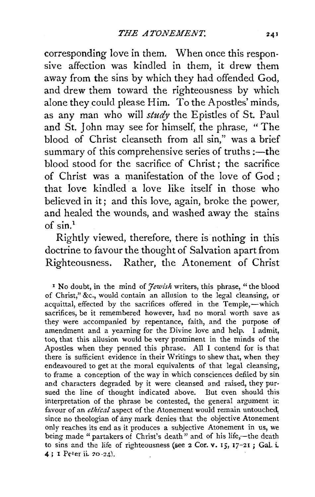corresponding love in them. When once this responsive affection was kindled in them, it drew them away from the sins by which they had offended God, and drew them toward the righteousness by which alone they could please Him. To the Apostles' minds, as any man who will *study* the Epistles of St. Paul and St. John may see for himself, the phrase, " The blood of Christ cleanseth from all sin," was a brief summary of this comprehensive series of truths :—the blood stood for the sacrifice of Christ ; the sacrifice of Christ was a manifestation of the love of God ; that love kindled a love like itself in those who believed in it; and this love, again, broke the power, and healed the wounds, and washed away the stains of  $\sin^{1}$ 

Rightly viewed, therefore, there is nothing in this doctrine to favour the thought of Salvation apart from Righteousness. Rather, the Atonement of Christ

<sup>1</sup> No doubt, in the mind of *Jewish* writers, this phrase, "the blood of Christ," &c., would contain an allusion to the legal cleansing, or acquittal, effected by the sacrifices offered in the Temple,—which sacrifices, be it remembered however, had no moral worth save as they were accompanied by repentance, faith, and the purpose of amendment and a yearning for the Divine love and help. I admit, too, that this allusion would be very prominent in the minds of the Apostles when they penned this phrase. All I contend for is that there is sufficient evidence in their Writings to shew that, when they endeavoured to get at the moral equivalents of that legal cleansing, to frame a conception of the way in which consciences defiled by sin and characters degraded by it were cleansed and raised, they pursued the line of thought indicated above. But even should this interpretation of the phrase be contested, the general argument ir. favour of an *ethical* aspect of the Atonement would remain untouched, since no theologian of any mark denies that the objective Atonement only reaches its end as it produces a subjective Atonement in us, we being made "partakers of Christ's death" and of his life,-the death to sins and the life of righteousness (see  $2$  Cor. v. 15, 17-21; Gal. i. 4; 1 Peter ii. 20-24).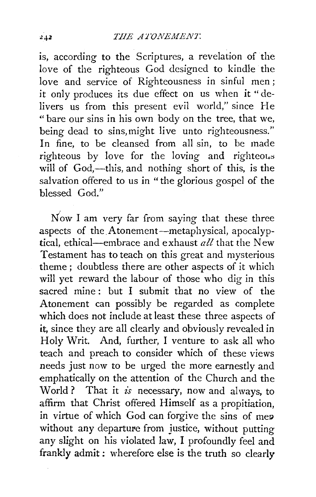is, according to the Scriptures, a revelation of the love of the righteous God designed to kindle the love and service of Righteousness in sinful men; it only produces its due effect on us when it "delivers us from this present evil world," since He " bare our sins in his own body on the tree, that we, being dead to sins,might live unto righteousness." In fine, to be cleansed from all sin, to be made righteous by love for the loving and righteous will of God,—this, and nothing short of this, is the salvation offered to us in "the glorious gospel of the blessed God."

Now I am very far from saying that these three aspects of the Atonement-metaphysical, apocalyptical, ethical-embrace and exhaust *all* that the New Testament has to teach on this great and mysterious theme ; doubtless there are other aspects of it which will yet reward the labour of those who dig in this sacred mine: but I submit that no view of the Atonement can possibly be regarded as complete which does not include at least these three aspects of it, since they are all clearly and obviously revealed in Holy Writ. And, further, I venture to ask all who teach and preach to consider which of these views needs just now to be urged the more earnestly and emphatically on the attention of the Church and the World? That it  $i\bar{s}$  necessary, now and always, to affirm that Christ offered Himself as a propitiation, in virtue of which God can forgive the sins of mep without any departure from justice, without putting any slight on his violated law, I profoundly feel and frankly admit : wherefore else is the truth so clearly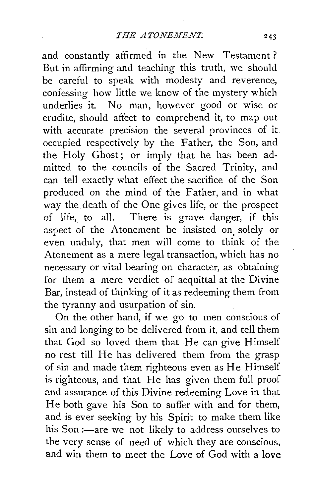and constantly affirmed in the New Testament ? But in affirming and teaching this truth, we should be careful to speak with modesty and reverence, confessing how little we know of the mystery which underlies it. No man, however good or wise or erudite, should affect to comprehend it, to map out with accurate precision the several provinces of it. occupied respectively by the Father, the Son, and the Holy Ghost; or imply that he has been admitted to the councils of the Sacred Trinity, and can tell exactly what effect the sacrifice of the Son produced on the mind of the Father, and in what way the death of the One gives life, or the prospect of life, to all. There is grave danger, if this aspect of the Atonement be insisted on, solely or even unduly, that men will come to think of the Atonement as a mere legal transaction, which has no necessary or vital bearing on character, as obtaining for them a mere verdict of acquittal at the Divine Bar, instead of thinking of it as redeeming them from the tyranny and usurpation of sin.

On the other hand, if we go to men conscious of sin and longing to be delivered from it, and tell them that God so loved them that He can give Himself no rest till He has delivered them from the grasp of sin and made them righteous even as He Himself is righteous, and that He has given them full proof and assurance of this Divine redeeming Love in that He both gave his Son to suffer with and for them, and is ever seeking by his Spirit to make them like his Son :- are we not likely to address ourselves to the very sense of need of which they are conscious, and win them to meet the Love of God with a love